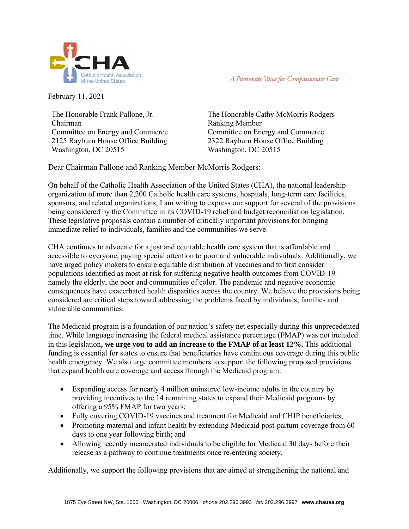

A Passionate Voice for Compassionate Care

February 11, 2021

The Honorable Frank Pallone, Jr. Chairman Committee on Energy and Commerce 2125 Rayburn House Office Building Washington, DC 20515

The Honorable Cathy McMorris Rodgers Ranking Member Committee on Energy and Commerce 2322 Rayburn House Office Building Washington, DC 20515

Dear Chairman Pallone and Ranking Member McMorris Rodgers:

On behalf of the Catholic Health Association of the United States (CHA), the national leadership organization of more than 2,200 Catholic health care systems, hospitals, long-term care facilities, sponsors, and related organizations, I am writing to express our support for several of the provisions being considered by the Committee in its COVID-19 relief and budget reconciliation legislation. These legislative proposals contain a number of critically important provisions for bringing immediate relief to individuals, families and the communities we serve.

CHA continues to advocate for a just and equitable health care system that is affordable and accessible to everyone, paying special attention to poor and vulnerable individuals. Additionally, we have urged policy makers to ensure equitable distribution of vaccines and to first consider populations identified as most at risk for suffering negative health outcomes from COVID-19 namely the elderly, the poor and communities of color. The pandemic and negative economic consequences have exacerbated health disparities across the country. We believe the provisions being considered are critical steps toward addressing the problems faced by individuals, families and vulnerable communities.

The Medicaid program is a foundation of our nation's safety net especially during this unprecedented time. While language increasing the federal medical assistance percentage (FMAP) was not included in this legislation**, we urge you to add an increase to the FMAP of at least 12%.** This additional funding is essential for states to ensure that beneficiaries have continuous coverage during this public health emergency. We also urge committee members to support the following proposed provisions that expand health care coverage and access through the Medicaid program:

- Expanding access for nearly 4 million uninsured low-income adults in the country by providing incentives to the 14 remaining states to expand their Medicaid programs by offering a 95% FMAP for two years;
- Fully covering COVID-19 vaccines and treatment for Medicaid and CHIP beneficiaries;
- Promoting maternal and infant health by extending Medicaid post-partum coverage from 60 days to one year following birth; and
- Allowing recently incarcerated individuals to be eligible for Medicaid 30 days before their release as a pathway to continue treatments once re-entering society.

Additionally, we support the following provisions that are aimed at strengthening the national and